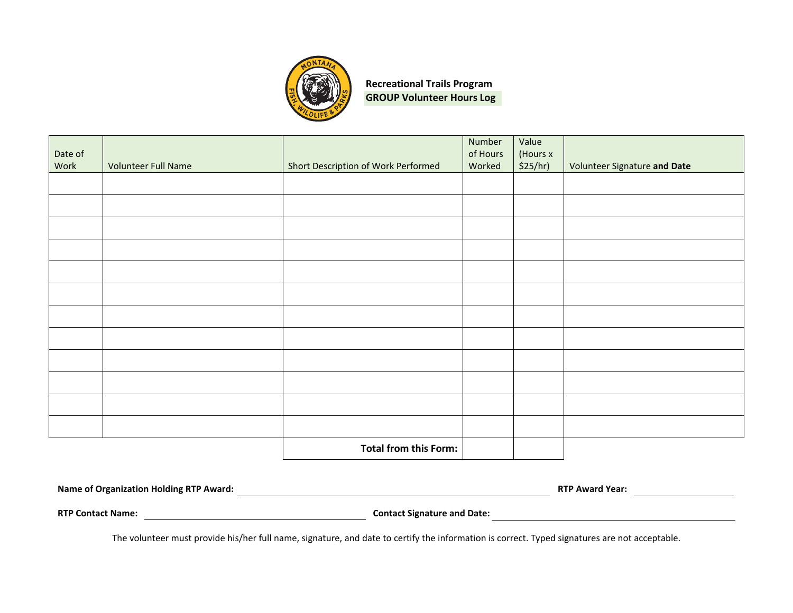

**Recreational Trails Program GROUP Volunteer Hours Log**

| Date of<br>Work | <b>Volunteer Full Name</b> |                                     | Number<br>of Hours<br>Worked | Value<br>(Hours x<br>\$25/hr) |                              |
|-----------------|----------------------------|-------------------------------------|------------------------------|-------------------------------|------------------------------|
|                 |                            | Short Description of Work Performed |                              |                               | Volunteer Signature and Date |
|                 |                            |                                     |                              |                               |                              |
|                 |                            |                                     |                              |                               |                              |
|                 |                            |                                     |                              |                               |                              |
|                 |                            |                                     |                              |                               |                              |
|                 |                            |                                     |                              |                               |                              |
|                 |                            |                                     |                              |                               |                              |
|                 |                            |                                     |                              |                               |                              |
|                 |                            |                                     |                              |                               |                              |
|                 |                            |                                     |                              |                               |                              |
|                 |                            |                                     |                              |                               |                              |
|                 |                            |                                     |                              |                               |                              |
|                 |                            | <b>Total from this Form:</b>        |                              |                               |                              |

| <b>Name of Organization Holding RTP Award:</b> | <b>RTP Award Year:</b>             |  |  |
|------------------------------------------------|------------------------------------|--|--|
| <b>RTP Contact Name:</b>                       | <b>Contact Signature and Date:</b> |  |  |

The volunteer must provide his/her full name, signature, and date to certify the information is correct. Typed signatures are not acceptable.